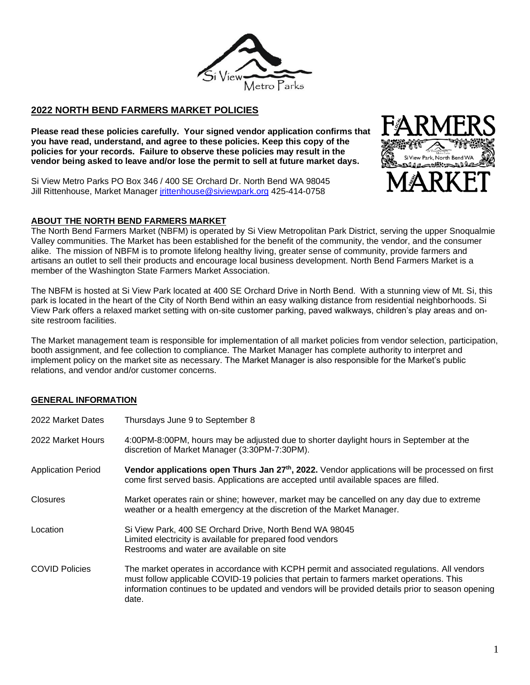

# **2022 NORTH BEND FARMERS MARKET POLICIES** ֧֝֟֟֟֟֟֬֝֬֝֬֝֬֝֬֝֬֝֬֝֬֝֬֝֬֝֬֝<del>֖</del>

**Please read these policies carefully. Your signed vendor application confirms that you have read, understand, and agree to these policies. Keep this copy of the policies for your records. Failure to observe these policies may result in the vendor being asked to leave and/or lose the permit to sell at future market days.**

Si View Metro Parks PO Box 346 / 400 SE Orchard Dr. North Bend WA 98045 Jill Rittenhouse, Market Manager [jrittenhouse@siviewpark.org](mailto:jrittenhouse@siviewpark.org) 425-414-0758

### **ABOUT THE NORTH BEND FARMERS MARKET**

The North Bend Farmers Market (NBFM) is operated by Si View Metropolitan Park District, serving the upper Snoqualmie Valley communities. The Market has been established for the benefit of the community, the vendor, and the consumer alike. The mission of NBFM is to promote lifelong healthy living, greater sense of community, provide farmers and artisans an outlet to sell their products and encourage local business development. North Bend Farmers Market is a member of the Washington State Farmers Market Association.

The NBFM is hosted at Si View Park located at 400 SE Orchard Drive in North Bend. With a stunning view of Mt. Si, this park is located in the heart of the City of North Bend within an easy walking distance from residential neighborhoods. Si View Park offers a relaxed market setting with on-site customer parking, paved walkways, children's play areas and onsite restroom facilities.

The Market management team is responsible for implementation of all market policies from vendor selection, participation, booth assignment, and fee collection to compliance. The Market Manager has complete authority to interpret and implement policy on the market site as necessary. The Market Manager is also responsible for the Market's public relations, and vendor and/or customer concerns.

#### **GENERAL INFORMATION**

| 2022 Market Dates         | Thursdays June 9 to September 8                                                                                                                                                                                                                                                                     |
|---------------------------|-----------------------------------------------------------------------------------------------------------------------------------------------------------------------------------------------------------------------------------------------------------------------------------------------------|
| 2022 Market Hours         | 4:00PM-8:00PM, hours may be adjusted due to shorter daylight hours in September at the<br>discretion of Market Manager (3:30PM-7:30PM).                                                                                                                                                             |
| <b>Application Period</b> | Vendor applications open Thurs Jan 27 <sup>th</sup> , 2022. Vendor applications will be processed on first<br>come first served basis. Applications are accepted until available spaces are filled.                                                                                                 |
| Closures                  | Market operates rain or shine; however, market may be cancelled on any day due to extreme<br>weather or a health emergency at the discretion of the Market Manager.                                                                                                                                 |
| Location                  | Si View Park, 400 SE Orchard Drive, North Bend WA 98045<br>Limited electricity is available for prepared food vendors<br>Restrooms and water are available on site                                                                                                                                  |
| <b>COVID Policies</b>     | The market operates in accordance with KCPH permit and associated regulations. All vendors<br>must follow applicable COVID-19 policies that pertain to farmers market operations. This<br>information continues to be updated and vendors will be provided details prior to season opening<br>date. |

rk, North Bend WA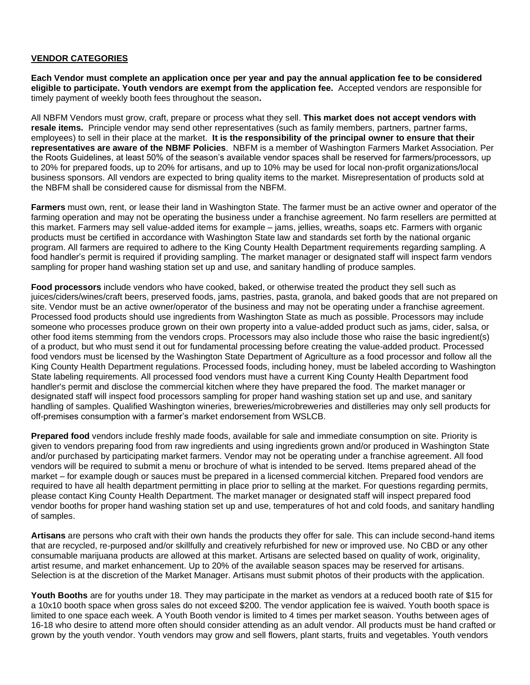#### **VENDOR CATEGORIES**

**Each Vendor must complete an application once per year and pay the annual application fee to be considered eligible to participate. Youth vendors are exempt from the application fee.** Accepted vendors are responsible for timely payment of weekly booth fees throughout the season**.** 

All NBFM Vendors must grow, craft, prepare or process what they sell. **This market does not accept vendors with resale items.** Principle vendor may send other representatives (such as family members, partners, partner farms, employees) to sell in their place at the market. **It is the responsibility of the principal owner to ensure that their representatives are aware of the NBMF Policies**. NBFM is a member of Washington Farmers Market Association. Per the Roots Guidelines, at least 50% of the season's available vendor spaces shall be reserved for farmers/processors, up to 20% for prepared foods, up to 20% for artisans, and up to 10% may be used for local non-profit organizations/local business sponsors. All vendors are expected to bring quality items to the market. Misrepresentation of products sold at the NBFM shall be considered cause for dismissal from the NBFM.

**Farmers** must own, rent, or lease their land in Washington State. The farmer must be an active owner and operator of the farming operation and may not be operating the business under a franchise agreement. No farm resellers are permitted at this market. Farmers may sell value-added items for example – jams, jellies, wreaths, soaps etc. Farmers with organic products must be certified in accordance with Washington State law and standards set forth by the national organic program. All farmers are required to adhere to the King County Health Department requirements regarding sampling. A food handler's permit is required if providing sampling. The market manager or designated staff will inspect farm vendors sampling for proper hand washing station set up and use, and sanitary handling of produce samples.

**Food processors** include vendors who have cooked, baked, or otherwise treated the product they sell such as juices/ciders/wines/craft beers, preserved foods, jams, pastries, pasta, granola, and baked goods that are not prepared on site. Vendor must be an active owner/operator of the business and may not be operating under a franchise agreement. Processed food products should use ingredients from Washington State as much as possible. Processors may include someone who processes produce grown on their own property into a value-added product such as jams, cider, salsa, or other food items stemming from the vendors crops. Processors may also include those who raise the basic ingredient(s) of a product, but who must send it out for fundamental processing before creating the value-added product. Processed food vendors must be licensed by the Washington State Department of Agriculture as a food processor and follow all the King County Health Department regulations. Processed foods, including honey, must be labeled according to Washington State labeling requirements. All processed food vendors must have a current King County Health Department food handler's permit and disclose the commercial kitchen where they have prepared the food. The market manager or designated staff will inspect food processors sampling for proper hand washing station set up and use, and sanitary handling of samples. Qualified Washington wineries, breweries/microbreweries and distilleries may only sell products for off-premises consumption with a farmer's market endorsement from WSLCB.

**Prepared food** vendors include freshly made foods, available for sale and immediate consumption on site. Priority is given to vendors preparing food from raw ingredients and using ingredients grown and/or produced in Washington State and/or purchased by participating market farmers. Vendor may not be operating under a franchise agreement. All food vendors will be required to submit a menu or brochure of what is intended to be served. Items prepared ahead of the market – for example dough or sauces must be prepared in a licensed commercial kitchen. Prepared food vendors are required to have all health department permitting in place prior to selling at the market. For questions regarding permits, please contact King County Health Department. The market manager or designated staff will inspect prepared food vendor booths for proper hand washing station set up and use, temperatures of hot and cold foods, and sanitary handling of samples.

**Artisans** are persons who craft with their own hands the products they offer for sale. This can include second-hand items that are recycled, re-purposed and/or skillfully and creatively refurbished for new or improved use. No CBD or any other consumable marijuana products are allowed at this market. Artisans are selected based on quality of work, originality, artist resume, and market enhancement. Up to 20% of the available season spaces may be reserved for artisans. Selection is at the discretion of the Market Manager. Artisans must submit photos of their products with the application.

**Youth Booths** are for youths under 18. They may participate in the market as vendors at a reduced booth rate of \$15 for a 10x10 booth space when gross sales do not exceed \$200. The vendor application fee is waived. Youth booth space is limited to one space each week. A Youth Booth vendor is limited to 4 times per market season. Youths between ages of 16-18 who desire to attend more often should consider attending as an adult vendor. All products must be hand crafted or grown by the youth vendor. Youth vendors may grow and sell flowers, plant starts, fruits and vegetables. Youth vendors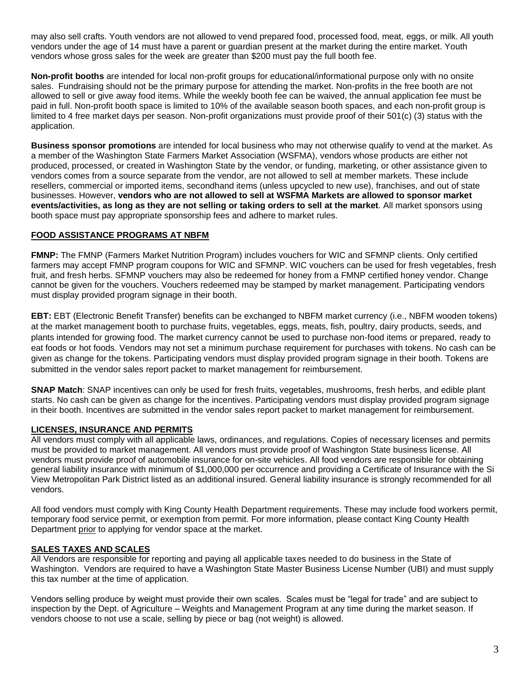may also sell crafts. Youth vendors are not allowed to vend prepared food, processed food, meat, eggs, or milk. All youth vendors under the age of 14 must have a parent or guardian present at the market during the entire market. Youth vendors whose gross sales for the week are greater than \$200 must pay the full booth fee.

**Non-profit booths** are intended for local non-profit groups for educational/informational purpose only with no onsite sales. Fundraising should not be the primary purpose for attending the market. Non-profits in the free booth are not allowed to sell or give away food items. While the weekly booth fee can be waived, the annual application fee must be paid in full. Non-profit booth space is limited to 10% of the available season booth spaces, and each non-profit group is limited to 4 free market days per season. Non-profit organizations must provide proof of their 501(c) (3) status with the application.

**Business sponsor promotions** are intended for local business who may not otherwise qualify to vend at the market. As a member of the Washington State Farmers Market Association (WSFMA), vendors whose products are either not produced, processed, or created in Washington State by the vendor, or funding, marketing, or other assistance given to vendors comes from a source separate from the vendor, are not allowed to sell at member markets. These include resellers, commercial or imported items, secondhand items (unless upcycled to new use), franchises, and out of state businesses. However, **vendors who are not allowed to sell at WSFMA Markets are allowed to sponsor market events/activities, as long as they are not selling or taking orders to sell at the market**. All market sponsors using booth space must pay appropriate sponsorship fees and adhere to market rules.

## **FOOD ASSISTANCE PROGRAMS AT NBFM**

**FMNP:** The FMNP (Farmers Market Nutrition Program) includes vouchers for WIC and SFMNP clients. Only certified farmers may accept FMNP program coupons for WIC and SFMNP. WIC vouchers can be used for fresh vegetables, fresh fruit, and fresh herbs. SFMNP vouchers may also be redeemed for honey from a FMNP certified honey vendor. Change cannot be given for the vouchers. Vouchers redeemed may be stamped by market management. Participating vendors must display provided program signage in their booth.

**EBT:** EBT (Electronic Benefit Transfer) benefits can be exchanged to NBFM market currency (i.e., NBFM wooden tokens) at the market management booth to purchase fruits, vegetables, eggs, meats, fish, poultry, dairy products, seeds, and plants intended for growing food. The market currency cannot be used to purchase non-food items or prepared, ready to eat foods or hot foods. Vendors may not set a minimum purchase requirement for purchases with tokens. No cash can be given as change for the tokens. Participating vendors must display provided program signage in their booth. Tokens are submitted in the vendor sales report packet to market management for reimbursement.

**SNAP Match**: SNAP incentives can only be used for fresh fruits, vegetables, mushrooms, fresh herbs, and edible plant starts. No cash can be given as change for the incentives. Participating vendors must display provided program signage in their booth. Incentives are submitted in the vendor sales report packet to market management for reimbursement.

## **LICENSES, INSURANCE AND PERMITS**

All vendors must comply with all applicable laws, ordinances, and regulations. Copies of necessary licenses and permits must be provided to market management. All vendors must provide proof of Washington State business license. All vendors must provide proof of automobile insurance for on-site vehicles. All food vendors are responsible for obtaining general liability insurance with minimum of \$1,000,000 per occurrence and providing a Certificate of Insurance with the Si View Metropolitan Park District listed as an additional insured. General liability insurance is strongly recommended for all vendors.

All food vendors must comply with King County Health Department requirements. These may include food workers permit, temporary food service permit, or exemption from permit. For more information, please contact King County Health Department prior to applying for vendor space at the market.

## **SALES TAXES AND SCALES**

All Vendors are responsible for reporting and paying all applicable taxes needed to do business in the State of Washington. Vendors are required to have a Washington State Master Business License Number (UBI) and must supply this tax number at the time of application.

Vendors selling produce by weight must provide their own scales. Scales must be "legal for trade" and are subject to inspection by the Dept. of Agriculture – Weights and Management Program at any time during the market season. If vendors choose to not use a scale, selling by piece or bag (not weight) is allowed.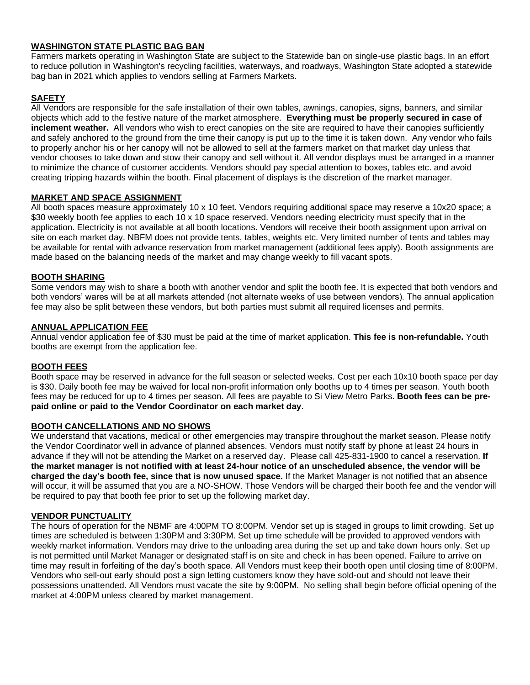## **WASHINGTON STATE PLASTIC BAG BAN**

Farmers markets operating in Washington State are subject to the Statewide ban on single-use plastic bags. In an effort to reduce pollution in Washington's recycling facilities, waterways, and roadways, Washington State adopted a statewide bag ban in 2021 which applies to vendors selling at Farmers Markets.

### **SAFETY**

All Vendors are responsible for the safe installation of their own tables, awnings, canopies, signs, banners, and similar objects which add to the festive nature of the market atmosphere. **Everything must be properly secured in case of inclement weather.** All vendors who wish to erect canopies on the site are required to have their canopies sufficiently and safely anchored to the ground from the time their canopy is put up to the time it is taken down. Any vendor who fails to properly anchor his or her canopy will not be allowed to sell at the farmers market on that market day unless that vendor chooses to take down and stow their canopy and sell without it. All vendor displays must be arranged in a manner to minimize the chance of customer accidents. Vendors should pay special attention to boxes, tables etc. and avoid creating tripping hazards within the booth. Final placement of displays is the discretion of the market manager.

### **MARKET AND SPACE ASSIGNMENT**

All booth spaces measure approximately 10 x 10 feet. Vendors requiring additional space may reserve a 10x20 space; a \$30 weekly booth fee applies to each 10 x 10 space reserved. Vendors needing electricity must specify that in the application. Electricity is not available at all booth locations. Vendors will receive their booth assignment upon arrival on site on each market day. NBFM does not provide tents, tables, weights etc. Very limited number of tents and tables may be available for rental with advance reservation from market management (additional fees apply). Booth assignments are made based on the balancing needs of the market and may change weekly to fill vacant spots.

#### **BOOTH SHARING**

Some vendors may wish to share a booth with another vendor and split the booth fee. It is expected that both vendors and both vendors' wares will be at all markets attended (not alternate weeks of use between vendors). The annual application fee may also be split between these vendors, but both parties must submit all required licenses and permits.

#### **ANNUAL APPLICATION FEE**

Annual vendor application fee of \$30 must be paid at the time of market application. **This fee is non-refundable.** Youth booths are exempt from the application fee.

#### **BOOTH FEES**

Booth space may be reserved in advance for the full season or selected weeks. Cost per each 10x10 booth space per day is \$30. Daily booth fee may be waived for local non-profit information only booths up to 4 times per season. Youth booth fees may be reduced for up to 4 times per season. All fees are payable to Si View Metro Parks. **Booth fees can be prepaid online or paid to the Vendor Coordinator on each market day**.

#### **BOOTH CANCELLATIONS AND NO SHOWS**

We understand that vacations, medical or other emergencies may transpire throughout the market season. Please notify the Vendor Coordinator well in advance of planned absences. Vendors must notify staff by phone at least 24 hours in advance if they will not be attending the Market on a reserved day. Please call 425-831-1900 to cancel a reservation. **If the market manager is not notified with at least 24-hour notice of an unscheduled absence, the vendor will be charged the day's booth fee, since that is now unused space.** If the Market Manager is not notified that an absence will occur, it will be assumed that you are a NO-SHOW. Those Vendors will be charged their booth fee and the vendor will be required to pay that booth fee prior to set up the following market day.

#### **VENDOR PUNCTUALITY**

The hours of operation for the NBMF are 4:00PM TO 8:00PM. Vendor set up is staged in groups to limit crowding. Set up times are scheduled is between 1:30PM and 3:30PM. Set up time schedule will be provided to approved vendors with weekly market information. Vendors may drive to the unloading area during the set up and take down hours only. Set up is not permitted until Market Manager or designated staff is on site and check in has been opened. Failure to arrive on time may result in forfeiting of the day's booth space. All Vendors must keep their booth open until closing time of 8:00PM. Vendors who sell-out early should post a sign letting customers know they have sold-out and should not leave their possessions unattended. All Vendors must vacate the site by 9:00PM. No selling shall begin before official opening of the market at 4:00PM unless cleared by market management.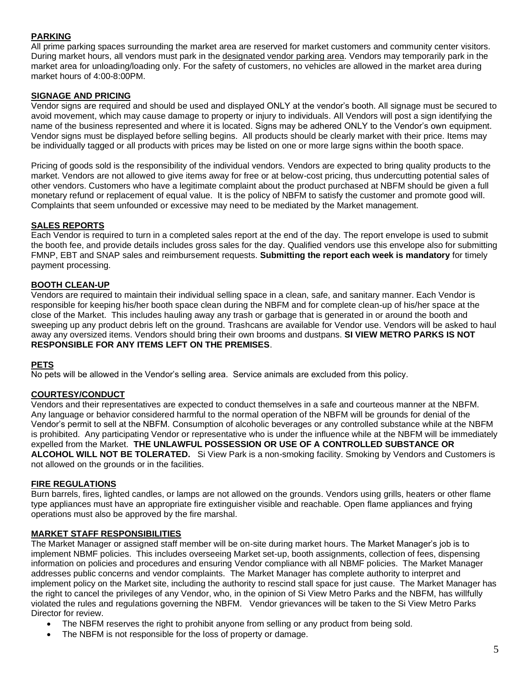# **PARKING**

All prime parking spaces surrounding the market area are reserved for market customers and community center visitors. During market hours, all vendors must park in the designated vendor parking area. Vendors may temporarily park in the market area for unloading/loading only. For the safety of customers, no vehicles are allowed in the market area during market hours of 4:00-8:00PM.

## **SIGNAGE AND PRICING**

Vendor signs are required and should be used and displayed ONLY at the vendor's booth. All signage must be secured to avoid movement, which may cause damage to property or injury to individuals. All Vendors will post a sign identifying the name of the business represented and where it is located. Signs may be adhered ONLY to the Vendor's own equipment. Vendor signs must be displayed before selling begins. All products should be clearly market with their price. Items may be individually tagged or all products with prices may be listed on one or more large signs within the booth space.

Pricing of goods sold is the responsibility of the individual vendors. Vendors are expected to bring quality products to the market. Vendors are not allowed to give items away for free or at below-cost pricing, thus undercutting potential sales of other vendors. Customers who have a legitimate complaint about the product purchased at NBFM should be given a full monetary refund or replacement of equal value. It is the policy of NBFM to satisfy the customer and promote good will. Complaints that seem unfounded or excessive may need to be mediated by the Market management.

## **SALES REPORTS**

Each Vendor is required to turn in a completed sales report at the end of the day. The report envelope is used to submit the booth fee, and provide details includes gross sales for the day. Qualified vendors use this envelope also for submitting FMNP, EBT and SNAP sales and reimbursement requests. **Submitting the report each week is mandatory** for timely payment processing.

## **BOOTH CLEAN-UP**

Vendors are required to maintain their individual selling space in a clean, safe, and sanitary manner. Each Vendor is responsible for keeping his/her booth space clean during the NBFM and for complete clean-up of his/her space at the close of the Market. This includes hauling away any trash or garbage that is generated in or around the booth and sweeping up any product debris left on the ground. Trashcans are available for Vendor use. Vendors will be asked to haul away any oversized items. Vendors should bring their own brooms and dustpans. **SI VIEW METRO PARKS IS NOT RESPONSIBLE FOR ANY ITEMS LEFT ON THE PREMISES**.

## **PETS**

No pets will be allowed in the Vendor's selling area. Service animals are excluded from this policy.

## **COURTESY/CONDUCT**

Vendors and their representatives are expected to conduct themselves in a safe and courteous manner at the NBFM. Any language or behavior considered harmful to the normal operation of the NBFM will be grounds for denial of the Vendor's permit to sell at the NBFM. Consumption of alcoholic beverages or any controlled substance while at the NBFM is prohibited. Any participating Vendor or representative who is under the influence while at the NBFM will be immediately expelled from the Market. **THE UNLAWFUL POSSESSION OR USE OF A CONTROLLED SUBSTANCE OR ALCOHOL WILL NOT BE TOLERATED.** Si View Park is a non-smoking facility. Smoking by Vendors and Customers is not allowed on the grounds or in the facilities.

#### **FIRE REGULATIONS**

Burn barrels, fires, lighted candles, or lamps are not allowed on the grounds. Vendors using grills, heaters or other flame type appliances must have an appropriate fire extinguisher visible and reachable. Open flame appliances and frying operations must also be approved by the fire marshal.

#### **MARKET STAFF RESPONSIBILITIES**

The Market Manager or assigned staff member will be on-site during market hours. The Market Manager's job is to implement NBMF policies. This includes overseeing Market set-up, booth assignments, collection of fees, dispensing information on policies and procedures and ensuring Vendor compliance with all NBMF policies. The Market Manager addresses public concerns and vendor complaints. The Market Manager has complete authority to interpret and implement policy on the Market site, including the authority to rescind stall space for just cause. The Market Manager has the right to cancel the privileges of any Vendor, who, in the opinion of Si View Metro Parks and the NBFM, has willfully violated the rules and regulations governing the NBFM. Vendor grievances will be taken to the Si View Metro Parks Director for review.

- The NBFM reserves the right to prohibit anyone from selling or any product from being sold.
- The NBFM is not responsible for the loss of property or damage.